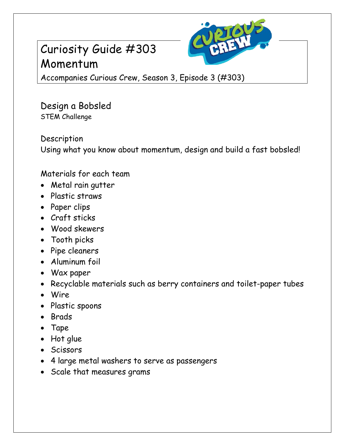## Curiosity Guide #303 Momentum



Accompanies Curious Crew, Season 3, Episode 3 (#303)

Design a Bobsled STEM Challenge

Description Using what you know about momentum, design and build a fast bobsled!

Materials for each team

- Metal rain gutter
- Plastic straws
- Paper clips
- Craft sticks
- Wood skewers
- Tooth picks
- Pipe cleaners
- Aluminum foil
- Wax paper
- Recyclable materials such as berry containers and toilet-paper tubes
- Wire
- Plastic spoons
- Brads
- Tape
- Hot glue
- Scissors
- 4 large metal washers to serve as passengers
- Scale that measures grams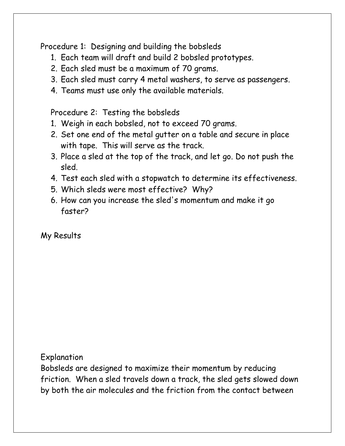Procedure 1: Designing and building the bobsleds

- 1. Each team will draft and build 2 bobsled prototypes.
- 2. Each sled must be a maximum of 70 grams.
- 3. Each sled must carry 4 metal washers, to serve as passengers.
- 4. Teams must use only the available materials.

Procedure 2: Testing the bobsleds

- 1. Weigh in each bobsled, not to exceed 70 grams.
- 2. Set one end of the metal gutter on a table and secure in place with tape. This will serve as the track.
- 3. Place a sled at the top of the track, and let go. Do not push the sled.
- 4. Test each sled with a stopwatch to determine its effectiveness.
- 5. Which sleds were most effective? Why?
- 6. How can you increase the sled's momentum and make it go faster?

My Results

Explanation

Bobsleds are designed to maximize their momentum by reducing friction. When a sled travels down a track, the sled gets slowed down by both the air molecules and the friction from the contact between